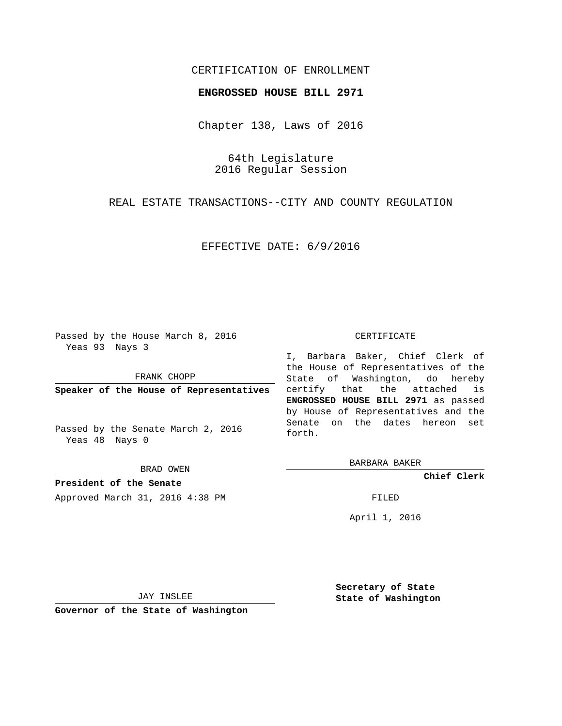## CERTIFICATION OF ENROLLMENT

## **ENGROSSED HOUSE BILL 2971**

Chapter 138, Laws of 2016

64th Legislature 2016 Regular Session

REAL ESTATE TRANSACTIONS--CITY AND COUNTY REGULATION

EFFECTIVE DATE: 6/9/2016

Passed by the House March 8, 2016 Yeas 93 Nays 3

FRANK CHOPP

**Speaker of the House of Representatives**

Passed by the Senate March 2, 2016 Yeas 48 Nays 0

BRAD OWEN

**President of the Senate** Approved March 31, 2016 4:38 PM FILED

#### CERTIFICATE

I, Barbara Baker, Chief Clerk of the House of Representatives of the State of Washington, do hereby certify that the attached is **ENGROSSED HOUSE BILL 2971** as passed by House of Representatives and the Senate on the dates hereon set forth.

BARBARA BAKER

**Chief Clerk**

April 1, 2016

JAY INSLEE

**Governor of the State of Washington**

**Secretary of State State of Washington**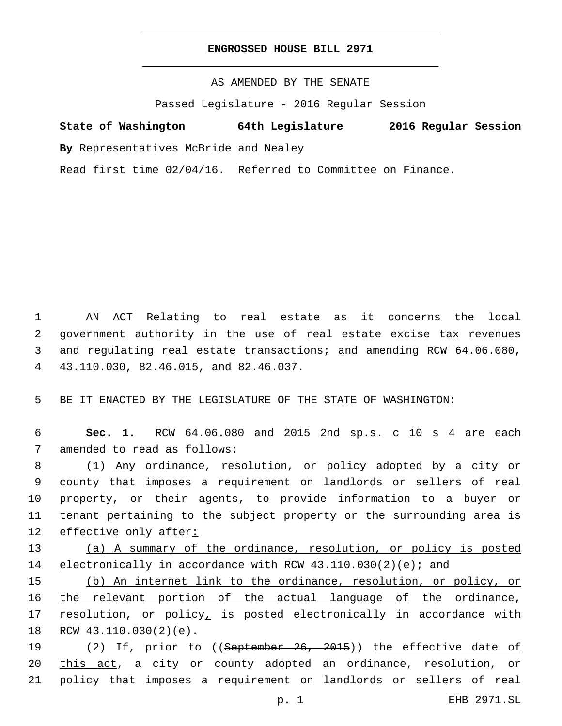## **ENGROSSED HOUSE BILL 2971**

AS AMENDED BY THE SENATE

Passed Legislature - 2016 Regular Session

# **State of Washington 64th Legislature 2016 Regular Session**

**By** Representatives McBride and Nealey

Read first time 02/04/16. Referred to Committee on Finance.

 AN ACT Relating to real estate as it concerns the local government authority in the use of real estate excise tax revenues and regulating real estate transactions; and amending RCW 64.06.080, 43.110.030, 82.46.015, and 82.46.037.4

5 BE IT ENACTED BY THE LEGISLATURE OF THE STATE OF WASHINGTON:

6 **Sec. 1.** RCW 64.06.080 and 2015 2nd sp.s. c 10 s 4 are each 7 amended to read as follows:

 (1) Any ordinance, resolution, or policy adopted by a city or county that imposes a requirement on landlords or sellers of real property, or their agents, to provide information to a buyer or tenant pertaining to the subject property or the surrounding area is effective only after:

13 (a) A summary of the ordinance, resolution, or policy is posted 14 electronically in accordance with RCW 43.110.030(2)(e); and

15 (b) An internet link to the ordinance, resolution, or policy, or 16 the relevant portion of the actual language of the ordinance, 17 resolution, or policy, is posted electronically in accordance with 18 RCW 43.110.030(2)(e).

19 (2) If, prior to ((September 26, 2015)) the effective date of 20 this act, a city or county adopted an ordinance, resolution, or 21 policy that imposes a requirement on landlords or sellers of real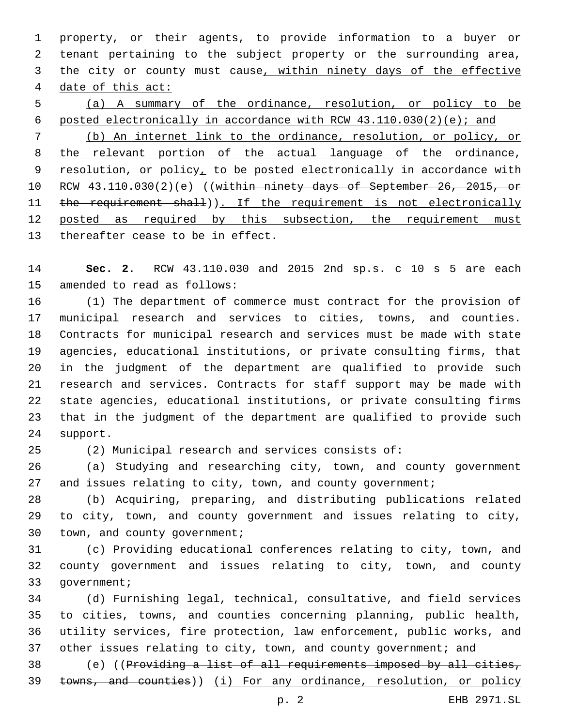property, or their agents, to provide information to a buyer or tenant pertaining to the subject property or the surrounding area, the city or county must cause, within ninety days of the effective date of this act:

 (a) A summary of the ordinance, resolution, or policy to be posted electronically in accordance with RCW 43.110.030(2)(e); and (b) An internet link to the ordinance, resolution, or policy, or

8 the relevant portion of the actual language of the ordinance, 9 resolution, or policy, to be posted electronically in accordance with 10 RCW 43.110.030(2)(e) ((within ninety days of September 26, 2015, or 11 the requirement shall)). If the requirement is not electronically posted as required by this subsection, the requirement must 13 thereafter cease to be in effect.

 **Sec. 2.** RCW 43.110.030 and 2015 2nd sp.s. c 10 s 5 are each 15 amended to read as follows:

 (1) The department of commerce must contract for the provision of municipal research and services to cities, towns, and counties. Contracts for municipal research and services must be made with state agencies, educational institutions, or private consulting firms, that in the judgment of the department are qualified to provide such research and services. Contracts for staff support may be made with state agencies, educational institutions, or private consulting firms that in the judgment of the department are qualified to provide such 24 support.

(2) Municipal research and services consists of:

 (a) Studying and researching city, town, and county government 27 and issues relating to city, town, and county government;

 (b) Acquiring, preparing, and distributing publications related to city, town, and county government and issues relating to city, 30 town, and county government;

 (c) Providing educational conferences relating to city, town, and county government and issues relating to city, town, and county 33 government;

 (d) Furnishing legal, technical, consultative, and field services to cities, towns, and counties concerning planning, public health, utility services, fire protection, law enforcement, public works, and 37 other issues relating to city, town, and county government; and

 (e) ((Providing a list of all requirements imposed by all cities, 39 towns, and counties)) (i) For any ordinance, resolution, or policy

p. 2 EHB 2971.SL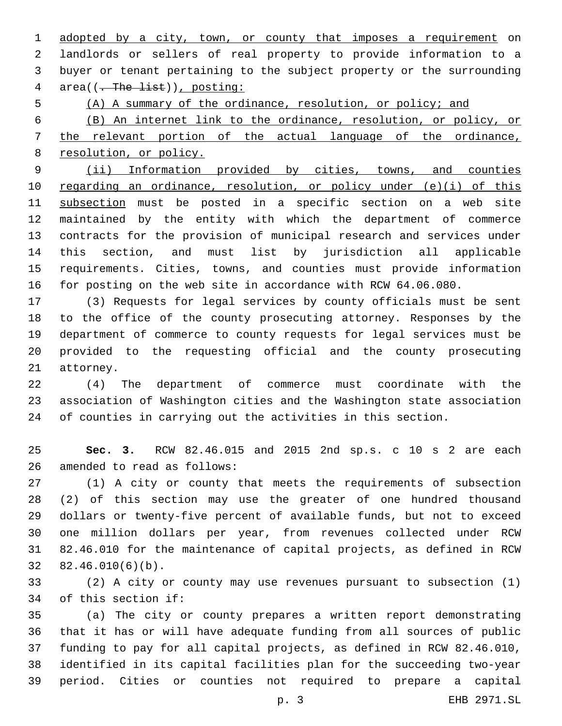adopted by a city, town, or county that imposes a requirement on landlords or sellers of real property to provide information to a buyer or tenant pertaining to the subject property or the surrounding 4 area( $(-$ The list)), posting:

(A) A summary of the ordinance, resolution, or policy; and

 (B) An internet link to the ordinance, resolution, or policy, or the relevant portion of the actual language of the ordinance, resolution, or policy.

 (ii) Information provided by cities, towns, and counties regarding an ordinance, resolution, or policy under (e)(i) of this subsection must be posted in a specific section on a web site maintained by the entity with which the department of commerce contracts for the provision of municipal research and services under this section, and must list by jurisdiction all applicable requirements. Cities, towns, and counties must provide information for posting on the web site in accordance with RCW 64.06.080.

 (3) Requests for legal services by county officials must be sent to the office of the county prosecuting attorney. Responses by the department of commerce to county requests for legal services must be provided to the requesting official and the county prosecuting 21 attorney.

 (4) The department of commerce must coordinate with the association of Washington cities and the Washington state association of counties in carrying out the activities in this section.

 **Sec. 3.** RCW 82.46.015 and 2015 2nd sp.s. c 10 s 2 are each 26 amended to read as follows:

 (1) A city or county that meets the requirements of subsection (2) of this section may use the greater of one hundred thousand dollars or twenty-five percent of available funds, but not to exceed one million dollars per year, from revenues collected under RCW 82.46.010 for the maintenance of capital projects, as defined in RCW  $32 \quad 82.46.010(6)(b)$ .

 (2) A city or county may use revenues pursuant to subsection (1) 34 of this section if:

 (a) The city or county prepares a written report demonstrating that it has or will have adequate funding from all sources of public funding to pay for all capital projects, as defined in RCW 82.46.010, identified in its capital facilities plan for the succeeding two-year period. Cities or counties not required to prepare a capital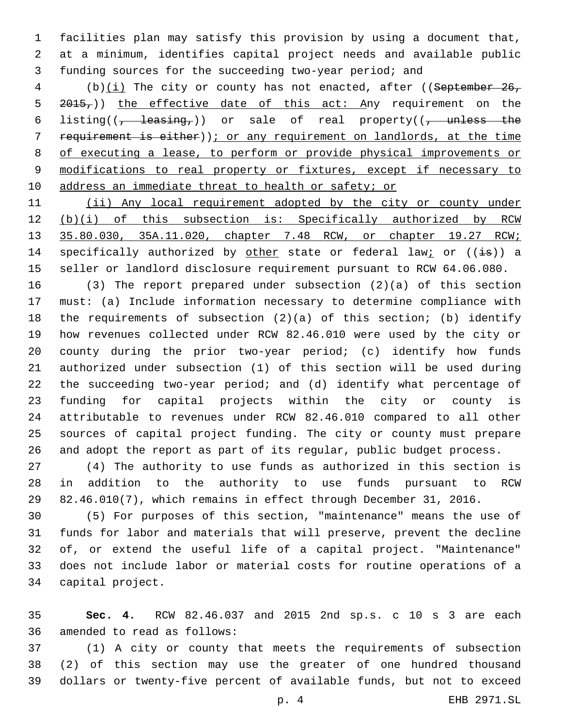facilities plan may satisfy this provision by using a document that, at a minimum, identifies capital project needs and available public funding sources for the succeeding two-year period; and

4 (b)(i) The city or county has not enacted, after ((September 26, 5 2015,)) the effective date of this act: Any requirement on the 6 listing( $\left(\frac{1}{f} + \frac{1}{\sqrt{f}}\right)$  or sale of real property( $\left(\frac{1}{f} + \frac{1}{\sqrt{f}}\right)$  requirement is either)); or any requirement on landlords, at the time of executing a lease, to perform or provide physical improvements or modifications to real property or fixtures, except if necessary to 10 address an immediate threat to health or safety; or

 (ii) Any local requirement adopted by the city or county under (b)(i) of this subsection is: Specifically authorized by RCW 35.80.030, 35A.11.020, chapter 7.48 RCW, or chapter 19.27 RCW; 14 specifically authorized by other state or federal law; or  $((\frac{1}{18}))$  a seller or landlord disclosure requirement pursuant to RCW 64.06.080.

 (3) The report prepared under subsection (2)(a) of this section must: (a) Include information necessary to determine compliance with the requirements of subsection (2)(a) of this section; (b) identify how revenues collected under RCW 82.46.010 were used by the city or county during the prior two-year period; (c) identify how funds authorized under subsection (1) of this section will be used during the succeeding two-year period; and (d) identify what percentage of funding for capital projects within the city or county is attributable to revenues under RCW 82.46.010 compared to all other sources of capital project funding. The city or county must prepare and adopt the report as part of its regular, public budget process.

 (4) The authority to use funds as authorized in this section is in addition to the authority to use funds pursuant to RCW 82.46.010(7), which remains in effect through December 31, 2016.

 (5) For purposes of this section, "maintenance" means the use of funds for labor and materials that will preserve, prevent the decline of, or extend the useful life of a capital project. "Maintenance" does not include labor or material costs for routine operations of a 34 capital project.

 **Sec. 4.** RCW 82.46.037 and 2015 2nd sp.s. c 10 s 3 are each 36 amended to read as follows:

 (1) A city or county that meets the requirements of subsection (2) of this section may use the greater of one hundred thousand dollars or twenty-five percent of available funds, but not to exceed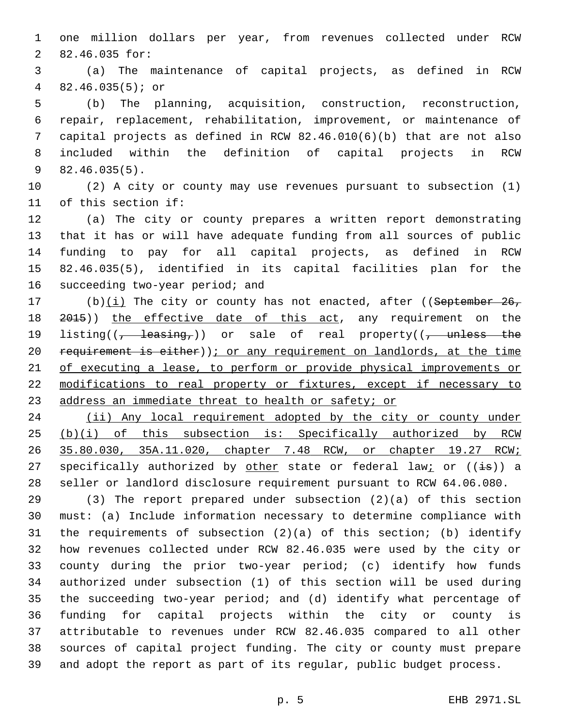one million dollars per year, from revenues collected under RCW 2 82.46.035 for:

 (a) The maintenance of capital projects, as defined in RCW  $482.46.035(5)$ ; or

 (b) The planning, acquisition, construction, reconstruction, repair, replacement, rehabilitation, improvement, or maintenance of capital projects as defined in RCW 82.46.010(6)(b) that are not also included within the definition of capital projects in RCW  $82.46.035(5)$ .

 (2) A city or county may use revenues pursuant to subsection (1) 11 of this section if:

 (a) The city or county prepares a written report demonstrating that it has or will have adequate funding from all sources of public funding to pay for all capital projects, as defined in RCW 82.46.035(5), identified in its capital facilities plan for the 16 succeeding two-year period; and

17 (b) $(i)$  The city or county has not enacted, after ((September 26, 2015)) the effective date of this act, any requirement on the 19 listing( $\left(\frac{1}{f} - \frac{1}{\sqrt{f}}\right)$  or sale of real property( $\left(\frac{1}{f} - \frac{1}{\sqrt{f}}\right)$ 20 requirement is either)); or any requirement on landlords, at the time of executing a lease, to perform or provide physical improvements or modifications to real property or fixtures, except if necessary to 23 address an immediate threat to health or safety; or

24 (ii) Any local requirement adopted by the city or county under (b)(i) of this subsection is: Specifically authorized by RCW 35.80.030, 35A.11.020, chapter 7.48 RCW, or chapter 19.27 RCW; 27 specifically authorized by other state or federal law; or  $((i\text{--}B))$  a seller or landlord disclosure requirement pursuant to RCW 64.06.080.

 (3) The report prepared under subsection (2)(a) of this section must: (a) Include information necessary to determine compliance with the requirements of subsection (2)(a) of this section; (b) identify how revenues collected under RCW 82.46.035 were used by the city or county during the prior two-year period; (c) identify how funds authorized under subsection (1) of this section will be used during the succeeding two-year period; and (d) identify what percentage of funding for capital projects within the city or county is attributable to revenues under RCW 82.46.035 compared to all other sources of capital project funding. The city or county must prepare and adopt the report as part of its regular, public budget process.